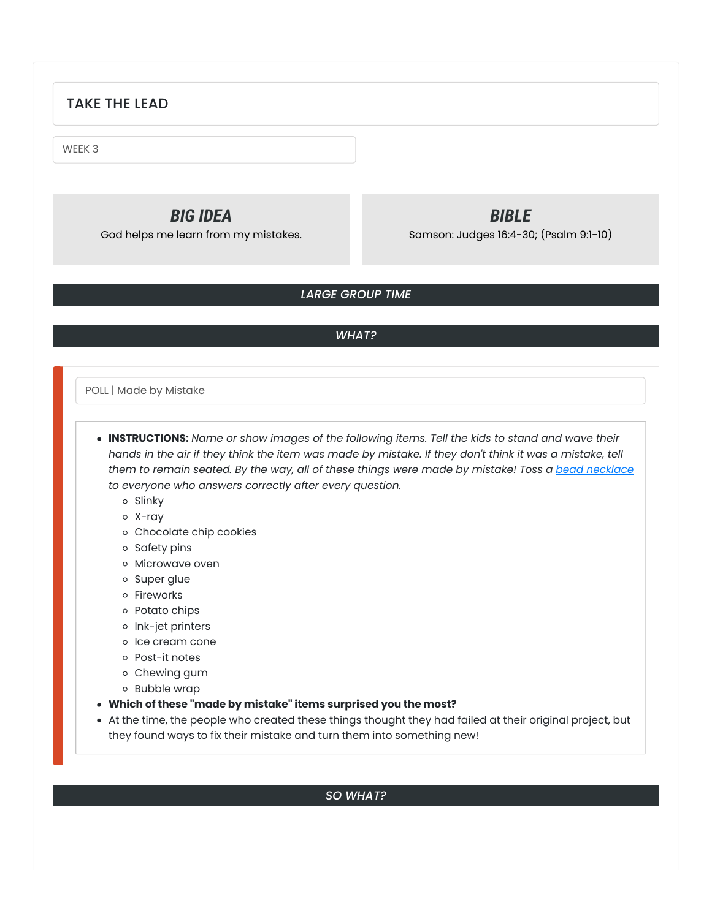# TAKE THE LEAD

WEEK 3

*BIG IDEA* God helps me learn from my mistakes.

*BIBLE* Samson: Judges 16:4-30; (Psalm 9:1-10)

## *LARGE GROUP TIME*

### *WHAT?*

POLL | Made by Mistake

**INSTRUCTIONS:** *Name or show images of the following items. Tell the kids to stand and wave their* hands in the air if they think the item was made by mistake. If they don't think it was a mistake, tell them to remain seated. By the way, all of these things were made by mistake! Toss a bead [necklace](https://amzn.to/2VkM5bE) *to everyone who answers correctly after every question.*

o Slinky

X-ray

Chocolate chip cookies

o Safety pins

o Microwave oven

o Super glue

o Fireworks

o Potato chips

o Ink-jet printers

o Ice cream cone

Post-it notes

Chewing gum

Bubble wrap

**Which of these "made by mistake" items surprised you the most?**

At the time, the people who created these things thought they had failed at their original project, but they found ways to fix their mistake and turn them into something new!

### *SO WHAT?*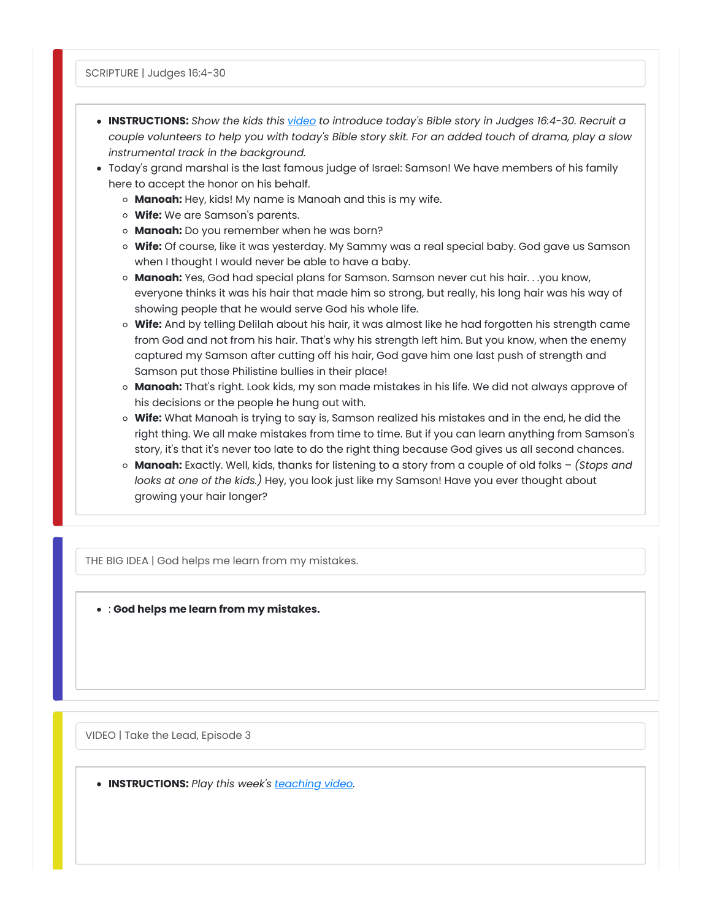- **INSTRUCTIONS:** *Show the kids this [video](https://youtu.be/j0oHc3XGoKo) to introduce today's Bible story in Judges 16:4-30. Recruit a* couple volunteers to help you with today's Bible story skit. For an added touch of drama, play a slow *instrumental track in the background.*
- Today's grand marshal is the last famous judge of Israel: Samson! We have members of his family here to accept the honor on his behalf.
	- **Manoah:** Hey, kids! My name is Manoah and this is my wife.
	- **Wife:** We are Samson's parents.
	- **Manoah:** Do you remember when he was born?
	- **Wife:** Of course, like it was yesterday. My Sammy was a real special baby. God gave us Samson when I thought I would never be able to have a baby.
	- **Manoah:** Yes, God had special plans for Samson. Samson never cut his hair. . .you know, everyone thinks it was his hair that made him so strong, but really, his long hair was his way of showing people that he would serve God his whole life.
	- **Wife:** And by telling Delilah about his hair, it was almost like he had forgotten his strength came from God and not from his hair. That's why his strength left him. But you know, when the enemy captured my Samson after cutting off his hair, God gave him one last push of strength and Samson put those Philistine bullies in their place!
	- **Manoah:** That's right. Look kids, my son made mistakes in his life. We did not always approve of his decisions or the people he hung out with.
	- **Wife:** What Manoah is trying to say is, Samson realized his mistakes and in the end, he did the right thing. We all make mistakes from time to time. But if you can learn anything from Samson's story, it's that it's never too late to do the right thing because God gives us all second chances.
	- **Manoah:** Exactly. Well, kids, thanks for listening to a story from a couple of old folks *(Stops and looks at one of the kids.)* Hey, you look just like my Samson! Have you ever thought about growing your hair longer?

THE BIG IDEA | God helps me learn from my mistakes.

: **God helps me learn from my mistakes.**

VIDEO | Take the Lead, Episode 3

**INSTRUCTIONS:** *Play this week's [teaching](https://growcurriculum.org/ElementaryTeachingVideosV4) video.*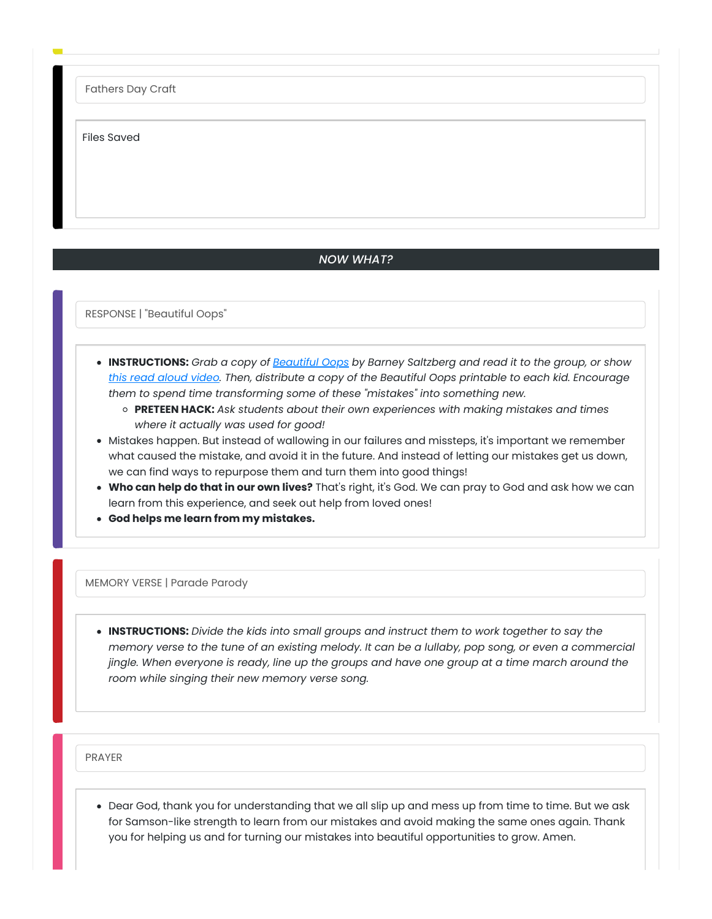Fathers Day Craft

Files Saved

#### *NOW WHAT?*

RESPONSE | "Beautiful Oops"

- **INSTRUCTIONS:** *Grab a copy of [Beautiful](https://amzn.to/2KgwmUK) Oops by Barney Saltzberg and read it to the group, or show this read [aloud](https://youtu.be/98q59ej04t8) video. Then, distribute a copy of the Beautiful Oops printable to each kid. Encourage them to spend time transforming some of these "mistakes" into something new.*
	- **PRETEEN HACK:** *Ask students about their own experiences with making mistakes and times where it actually was used for good!*
- Mistakes happen. But instead of wallowing in our failures and missteps, it's important we remember what caused the mistake, and avoid it in the future. And instead of letting our mistakes get us down, we can find ways to repurpose them and turn them into good things!
- **Who can help do that in our own lives?** That's right, it's God. We can pray to God and ask how we can learn from this experience, and seek out help from loved ones!
- **God helps me learn from my mistakes.**

MEMORY VERSE | Parade Parody

**INSTRUCTIONS:** *Divide the kids into small groups and instruct them to work together to say the* memory verse to the tune of an existing melody. It can be a lullaby, pop song, or even a commercial jingle. When everyone is ready, line up the groups and have one group at a time march around the *room while singing their new memory verse song.*

PRAYER

Dear God, thank you for understanding that we all slip up and mess up from time to time. But we ask for Samson-like strength to learn from our mistakes and avoid making the same ones again. Thank you for helping us and for turning our mistakes into beautiful opportunities to grow. Amen.